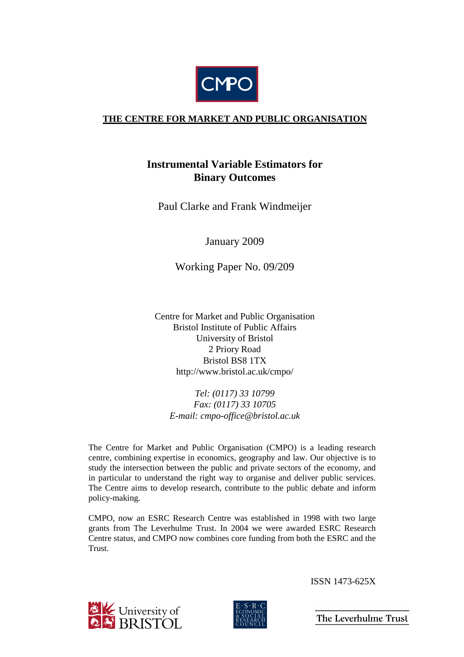

# **THE CENTRE FOR MARKET AND PUBLIC ORGANISATION**

# **Instrumental Variable Estimators for Binary Outcomes**

Paul Clarke and Frank Windmeijer

January 2009

Working Paper No. 09/209

Centre for Market and Public Organisation Bristol Institute of Public Affairs University of Bristol 2 Priory Road Bristol BS8 1TX http://www.bristol.ac.uk/cmpo/

*Tel: (0117) 33 10799 Fax: (0117) 33 10705 E-mail: cmpo-office@bristol.ac.uk* 

The Centre for Market and Public Organisation (CMPO) is a leading research centre, combining expertise in economics, geography and law. Our objective is to study the intersection between the public and private sectors of the economy, and in particular to understand the right way to organise and deliver public services. The Centre aims to develop research, contribute to the public debate and inform policy-making.

CMPO, now an ESRC Research Centre was established in 1998 with two large grants from The Leverhulme Trust. In 2004 we were awarded ESRC Research Centre status, and CMPO now combines core funding from both the ESRC and the Trust.





ISSN 1473-625X

The Leverhulme Trust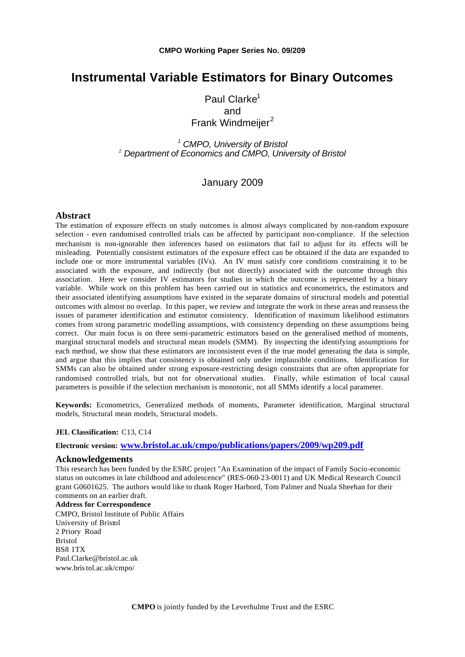# **Instrumental Variable Estimators for Binary Outcomes**

Paul Clarke $1$ and Frank Windmeijer<sup>2</sup>

*<sup>1</sup> CMPO, University of Bristol <sup>2</sup> Department of Economics and CMPO, University of Bristol*

## January 2009

#### **Abstract**

The estimation of exposure effects on study outcomes is almost always complicated by non-random exposure selection - even randomised controlled trials can be affected by participant non-compliance. If the selection mechanism is non-ignorable then inferences based on estimators that fail to adjust for its effects will be misleading. Potentially consistent estimators of the exposure effect can be obtained if the data are expanded to include one or more instrumental variables (IVs). An IV must satisfy core conditions constraining it to be associated with the exposure, and indirectly (but not directly) associated with the outcome through this association. Here we consider IV estimators for studies in which the outcome is represented by a binary variable. While work on this problem has been carried out in statistics and econometrics, the estimators and their associated identifying assumptions have existed in the separate domains of structural models and potential outcomes with almost no overlap. In this paper, we review and integrate the work in these areas and reassess the issues of parameter identification and estimator consistency. Identification of maximum likelihood estimators comes from strong parametric modelling assumptions, with consistency depending on these assumptions being correct. Our main focus is on three semi-parametric estimators based on the generalised method of moments, marginal structural models and structural mean models (SMM). By inspecting the identifying assumptions for each method, we show that these estimators are inconsistent even if the true model generating the data is simple, and argue that this implies that consistency is obtained only under implausible conditions. Identification for SMMs can also be obtained under strong exposure-restricting design constraints that are often appropriate for randomised controlled trials, but not for observational studies. Finally, while estimation of local causal parameters is possible if the selection mechanism is monotonic, not all SMMs identify a local parameter.

**Keywords:** Econometrics, Generalized methods of moments, Parameter identification, Marginal structural models, Structural mean models, Structural models.

#### **JEL Classification:** C13, C14

#### **Electronic version: www.bristol.ac.uk/cmpo/publications/papers/2009/wp209.pdf**

#### **Acknowledgements**

This research has been funded by the ESRC project "An Examination of the impact of Family Socio-economic status on outcomes in late childhood and adolescence" (RES-060-23-0011) and UK Medical Research Council grant G0601625. The authors would like to thank Roger Harbord, Tom Palmer and Nuala Sheehan for their comments on an earlier draft.

**Address for Correspondence** CMPO, Bristol Institute of Public Affairs University of Bristol 2 Priory Road Bristol BS8 1TX Paul.Clarke@bristol.ac.uk www.bristol.ac.uk/cmpo/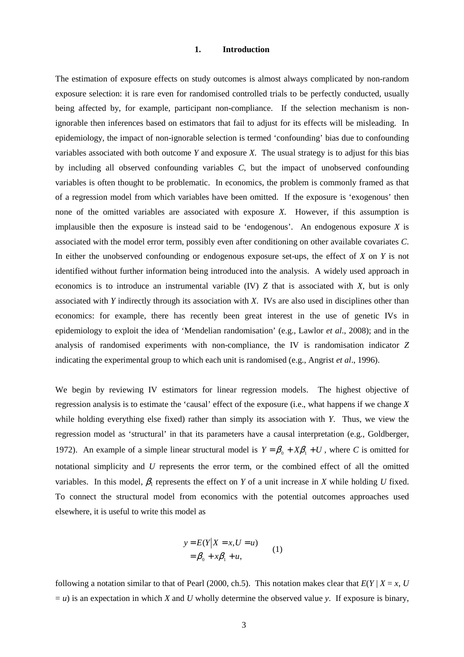#### **1. Introduction**

The estimation of exposure effects on study outcomes is almost always complicated by non-random exposure selection: it is rare even for randomised controlled trials to be perfectly conducted, usually being affected by, for example, participant non-compliance. If the selection mechanism is nonignorable then inferences based on estimators that fail to adjust for its effects will be misleading. In epidemiology, the impact of non-ignorable selection is termed 'confounding' bias due to confounding variables associated with both outcome *Y* and exposure *X*. The usual strategy is to adjust for this bias by including all observed confounding variables *C*, but the impact of unobserved confounding variables is often thought to be problematic. In economics, the problem is commonly framed as that of a regression model from which variables have been omitted. If the exposure is 'exogenous' then none of the omitted variables are associated with exposure *X*. However, if this assumption is implausible then the exposure is instead said to be 'endogenous'. An endogenous exposure *X* is associated with the model error term, possibly even after conditioning on other available covariates *C*. In either the unobserved confounding or endogenous exposure set-ups, the effect of *X* on *Y* is not identified without further information being introduced into the analysis. A widely used approach in economics is to introduce an instrumental variable (IV) *Z* that is associated with *X*, but is only associated with *Y* indirectly through its association with *X*. IVs are also used in disciplines other than economics: for example, there has recently been great interest in the use of genetic IVs in epidemiology to exploit the idea of 'Mendelian randomisation' (e.g., Lawlor *et al*., 2008); and in the analysis of randomised experiments with non-compliance, the IV is randomisation indicator *Z* indicating the experimental group to which each unit is randomised (e.g., Angrist *et al*., 1996).

We begin by reviewing IV estimators for linear regression models. The highest objective of regression analysis is to estimate the 'causal' effect of the exposure (i.e., what happens if we change *X* while holding everything else fixed) rather than simply its association with *Y*. Thus, we view the regression model as 'structural' in that its parameters have a causal interpretation (e.g., Goldberger, 1972). An example of a simple linear structural model is  $Y = \beta_0 + X\beta_1 + U$ , where *C* is omitted for notational simplicity and *U* represents the error term, or the combined effect of all the omitted variables. In this model,  $\beta_1$  represents the effect on *Y* of a unit increase in *X* while holding *U* fixed. To connect the structural model from economics with the potential outcomes approaches used elsewhere, it is useful to write this model as

$$
y = E(Y|X = x, U = u)
$$
  
=  $\beta_0 + x\beta_1 + u,$  (1)

following a notation similar to that of Pearl (2000, ch.5). This notation makes clear that  $E(Y | X = x, U)$  $= u$ ) is an expectation in which *X* and *U* wholly determine the observed value *y*. If exposure is binary,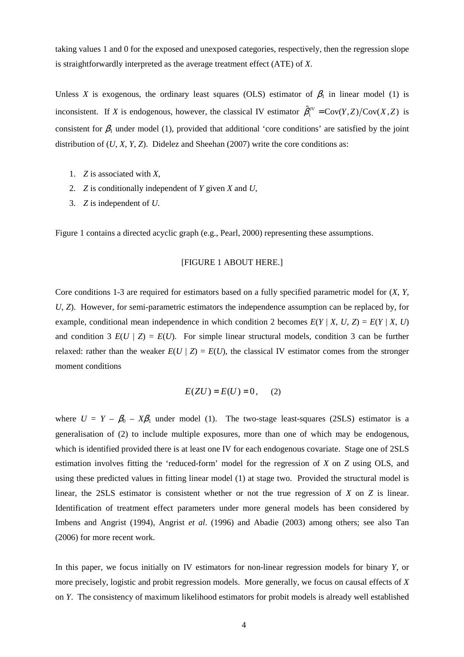taking values 1 and 0 for the exposed and unexposed categories, respectively, then the regression slope is straightforwardly interpreted as the average treatment effect (ATE) of *X*.

Unless *X* is exogenous, the ordinary least squares (OLS) estimator of  $\beta_1$  in linear model (1) is inconsistent. If *X* is endogenous, however, the classical IV estimator  $\hat{\beta}_1^N = \text{Cov}(Y, Z) / \text{Cov}(X, Z)$  is consistent for  $\beta_1$  under model (1), provided that additional 'core conditions' are satisfied by the joint distribution of (*U*, *X*, *Y*, *Z*). Didelez and Sheehan (2007) write the core conditions as:

- 1. *Z* is associated with *X*,
- 2. *Z* is conditionally independent of *Y* given *X* and *U*,
- 3. *Z* is independent of *U*.

Figure 1 contains a directed acyclic graph (e.g., Pearl, 2000) representing these assumptions.

## [FIGURE 1 ABOUT HERE.]

Core conditions 1-3 are required for estimators based on a fully specified parametric model for (*X*, *Y*, *U*, *Z*). However, for semi-parametric estimators the independence assumption can be replaced by, for example, conditional mean independence in which condition 2 becomes  $E(Y | X, U, Z) = E(Y | X, U)$ and condition 3  $E(U | Z) = E(U)$ . For simple linear structural models, condition 3 can be further relaxed: rather than the weaker  $E(U | Z) = E(U)$ , the classical IV estimator comes from the stronger moment conditions

$$
E(ZU) = E(U) = 0, \quad (2)
$$

where  $U = Y - \beta_0 - X\beta_1$  under model (1). The two-stage least-squares (2SLS) estimator is a generalisation of (2) to include multiple exposures, more than one of which may be endogenous, which is identified provided there is at least one IV for each endogenous covariate. Stage one of 2SLS estimation involves fitting the 'reduced-form' model for the regression of *X* on *Z* using OLS, and using these predicted values in fitting linear model (1) at stage two. Provided the structural model is linear, the 2SLS estimator is consistent whether or not the true regression of *X* on *Z* is linear. Identification of treatment effect parameters under more general models has been considered by Imbens and Angrist (1994), Angrist *et al*. (1996) and Abadie (2003) among others; see also Tan (2006) for more recent work.

In this paper, we focus initially on IV estimators for non-linear regression models for binary *Y*, or more precisely, logistic and probit regression models. More generally, we focus on causal effects of *X* on *Y*. The consistency of maximum likelihood estimators for probit models is already well established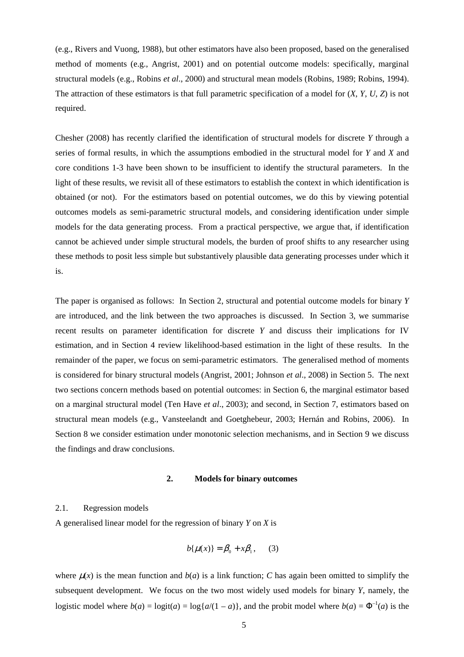(e.g., Rivers and Vuong, 1988), but other estimators have also been proposed, based on the generalised method of moments (e.g., Angrist, 2001) and on potential outcome models: specifically, marginal structural models (e.g., Robins *et al*., 2000) and structural mean models (Robins, 1989; Robins, 1994). The attraction of these estimators is that full parametric specification of a model for (*X*, *Y*, *U*, *Z*) is not required.

Chesher (2008) has recently clarified the identification of structural models for discrete *Y* through a series of formal results, in which the assumptions embodied in the structural model for *Y* and *X* and core conditions 1-3 have been shown to be insufficient to identify the structural parameters. In the light of these results, we revisit all of these estimators to establish the context in which identification is obtained (or not). For the estimators based on potential outcomes, we do this by viewing potential outcomes models as semi-parametric structural models, and considering identification under simple models for the data generating process. From a practical perspective, we argue that, if identification cannot be achieved under simple structural models, the burden of proof shifts to any researcher using these methods to posit less simple but substantively plausible data generating processes under which it is.

The paper is organised as follows: In Section 2, structural and potential outcome models for binary *Y* are introduced, and the link between the two approaches is discussed. In Section 3, we summarise recent results on parameter identification for discrete *Y* and discuss their implications for IV estimation, and in Section 4 review likelihood-based estimation in the light of these results. In the remainder of the paper, we focus on semi-parametric estimators. The generalised method of moments is considered for binary structural models (Angrist, 2001; Johnson *et al*., 2008) in Section 5. The next two sections concern methods based on potential outcomes: in Section 6, the marginal estimator based on a marginal structural model (Ten Have *et al*., 2003); and second, in Section 7, estimators based on structural mean models (e.g., Vansteelandt and Goetghebeur, 2003; Hernán and Robins, 2006). In Section 8 we consider estimation under monotonic selection mechanisms, and in Section 9 we discuss the findings and draw conclusions.

#### **2. Models for binary outcomes**

#### 2.1. Regression models

A generalised linear model for the regression of binary *Y* on *X* is

$$
b\{\mu(x)\} = \beta_0 + x\beta_1, \qquad (3)
$$

where  $\mu(x)$  is the mean function and  $b(a)$  is a link function; *C* has again been omitted to simplify the subsequent development. We focus on the two most widely used models for binary *Y*, namely, the logistic model where  $b(a) = \log\{a/(1-a)\}\)$ , and the probit model where  $b(a) = \Phi^{-1}(a)$  is the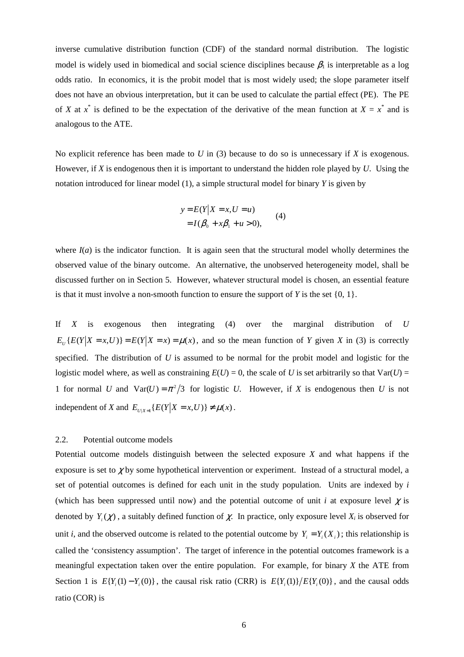inverse cumulative distribution function (CDF) of the standard normal distribution. The logistic model is widely used in biomedical and social science disciplines because  $\beta_1$  is interpretable as a log odds ratio. In economics, it is the probit model that is most widely used; the slope parameter itself does not have an obvious interpretation, but it can be used to calculate the partial effect (PE). The PE of *X* at  $x^*$  is defined to be the expectation of the derivative of the mean function at  $X = x^*$  and is analogous to the ATE.

No explicit reference has been made to *U* in (3) because to do so is unnecessary if *X* is exogenous. However, if *X* is endogenous then it is important to understand the hidden role played by *U*. Using the notation introduced for linear model (1), a simple structural model for binary *Y* is given by

$$
y = E(Y|X = x, U = u)
$$
  
=  $I(\beta_0 + x\beta_1 + u > 0),$  (4)

where  $I(a)$  is the indicator function. It is again seen that the structural model wholly determines the observed value of the binary outcome. An alternative, the unobserved heterogeneity model, shall be discussed further on in Section 5. However, whatever structural model is chosen, an essential feature is that it must involve a non-smooth function to ensure the support of *Y* is the set  $\{0, 1\}$ .

If *X* is exogenous then integrating (4) over the marginal distribution of *U*  $E_{U}\{E(Y|X=x,U)\} = E(Y|X=x) = \mu(x)$ , and so the mean function of *Y* given *X* in (3) is correctly specified. The distribution of *U* is assumed to be normal for the probit model and logistic for the logistic model where, as well as constraining  $E(U) = 0$ , the scale of *U* is set arbitrarily so that  $Var(U) =$ 1 for normal *U* and  $Var(U) = \pi^2/3$  for logistic *U*. However, if *X* is endogenous then *U* is not independent of *X* and  $E_{U|X=1} \{ E(Y|X=x,U) \} \neq \mu(x)$ .

#### 2.2. Potential outcome models

Potential outcome models distinguish between the selected exposure *X* and what happens if the exposure is set to  $\chi$  by some hypothetical intervention or experiment. Instead of a structural model, a set of potential outcomes is defined for each unit in the study population. Units are indexed by *i* (which has been suppressed until now) and the potential outcome of unit *i* at exposure level  $\chi$  is denoted by  $Y_i(\chi)$ , a suitably defined function of  $\chi$ . In practice, only exposure level  $X_i$  is observed for unit *i*, and the observed outcome is related to the potential outcome by  $Y_i = Y_i(X_i)$ ; this relationship is called the 'consistency assumption'. The target of inference in the potential outcomes framework is a meaningful expectation taken over the entire population. For example, for binary *X* the ATE from Section 1 is  $E\{Y_i(1) - Y_i(0)\}$ , the causal risk ratio (CRR) is  $E\{Y_i(1)\} / E\{Y_i(0)\}$ , and the causal odds ratio (COR) is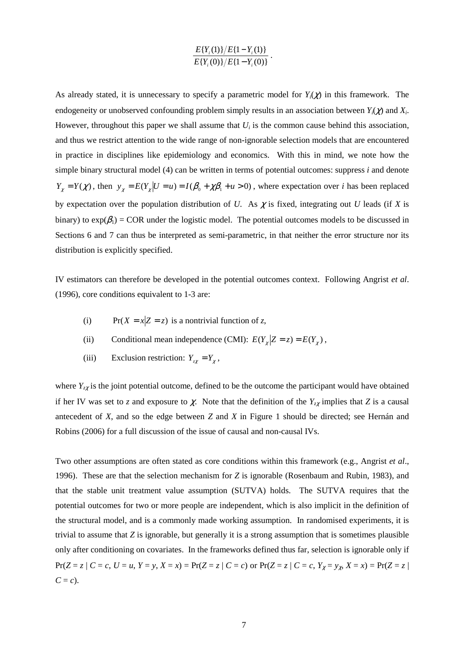$$
\frac{E\{Y_i(1)\}/E\{1-Y_i(1)\}}{E\{Y_i(0)\}/E\{1-Y_i(0)\}}.
$$

As already stated, it is unnecessary to specify a parametric model for  $Y_i(\chi)$  in this framework. The endogeneity or unobserved confounding problem simply results in an association between  $Y_i(\chi)$  and  $X_i$ . However, throughout this paper we shall assume that  $U_i$  is the common cause behind this association, and thus we restrict attention to the wide range of non-ignorable selection models that are encountered in practice in disciplines like epidemiology and economics. With this in mind, we note how the simple binary structural model (4) can be written in terms of potential outcomes: suppress *i* and denote  $Y_{\chi} = Y(\chi)$ , then  $y_{\chi} = E(Y_{\chi} | U = u) = I(\beta_0 + \chi \beta_1 + u > 0)$ , where expectation over *i* has been replaced by expectation over the population distribution of *U*. As  $\chi$  is fixed, integrating out *U* leads (if *X* is binary) to  $exp(\beta_1) = COR$  under the logistic model. The potential outcomes models to be discussed in Sections 6 and 7 can thus be interpreted as semi-parametric, in that neither the error structure nor its distribution is explicitly specified.

IV estimators can therefore be developed in the potential outcomes context. Following Angrist *et al*. (1996), core conditions equivalent to 1-3 are:

- (i) Pr( $X = x | Z = z$ ) is a nontrivial function of *z*,
- (ii) Conditional mean independence (CMI):  $E(Y_x | Z = z) = E(Y_x)$ ,
- (iii) Exclusion restriction:  $Y_{zx} = Y_{x}$ ,

where  $Y_{zz}$  is the joint potential outcome, defined to be the outcome the participant would have obtained if her IV was set to *z* and exposure to  $\chi$ . Note that the definition of the  $Y_{z\chi}$  implies that *Z* is a causal antecedent of *X*, and so the edge between *Z* and *X* in Figure 1 should be directed; see Hernán and Robins (2006) for a full discussion of the issue of causal and non-causal IVs.

Two other assumptions are often stated as core conditions within this framework (e.g., Angrist *et al*., 1996). These are that the selection mechanism for *Z* is ignorable (Rosenbaum and Rubin, 1983), and that the stable unit treatment value assumption (SUTVA) holds. The SUTVA requires that the potential outcomes for two or more people are independent, which is also implicit in the definition of the structural model, and is a commonly made working assumption. In randomised experiments, it is trivial to assume that *Z* is ignorable, but generally it is a strong assumption that is sometimes plausible only after conditioning on covariates. In the frameworks defined thus far, selection is ignorable only if  $Pr(Z = z | C = c, U = u, Y = y, X = x) = Pr(Z = z | C = c)$  or  $Pr(Z = z | C = c, Y_x = y_x, X = x) = Pr(Z = z | C = x)$  $C = c$ ).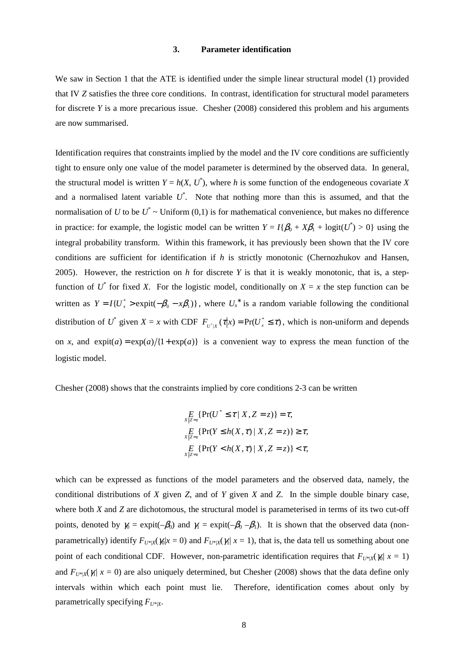### **3. Parameter identification**

We saw in Section 1 that the ATE is identified under the simple linear structural model (1) provided that IV *Z* satisfies the three core conditions. In contrast, identification for structural model parameters for discrete *Y* is a more precarious issue. Chesher (2008) considered this problem and his arguments are now summarised.

Identification requires that constraints implied by the model and the IV core conditions are sufficiently tight to ensure only one value of the model parameter is determined by the observed data. In general, the structural model is written  $Y = h(X, U^*)$ , where *h* is some function of the endogeneous covariate X and a normalised latent variable  $U^*$ . Note that nothing more than this is assumed, and that the normalisation of *U* to be  $U^* \sim$  Uniform (0,1) is for mathematical convenience, but makes no difference in practice: for example, the logistic model can be written  $Y = I\{\beta_0 + X\beta_1 + \logit(U^*) > 0\}$  using the integral probability transform. Within this framework, it has previously been shown that the IV core conditions are sufficient for identification if *h* is strictly monotonic (Chernozhukov and Hansen, 2005). However, the restriction on *h* for discrete *Y* is that it is weakly monotonic, that is, a stepfunction of  $U^*$  for fixed *X*. For the logistic model, conditionally on  $X = x$  the step function can be written as  $Y = I\{U_x^* > \text{expit}(-\beta_0 - x\beta_1)\}\$ , where  $U_x^*$  is a random variable following the conditional distribution of U<sup>\*</sup> given  $X = x$  with CDF  $F_{u^*|v}(x|x) = Pr(U_x^* \leq \tau)$  $F_{U^*|X}(\tau|x) = \Pr(U^* \leq \tau)$ , which is non-uniform and depends on *x*, and  $exp(it(a) = exp(a)/{1 + exp(a)}$  is a convenient way to express the mean function of the logistic model.

Chesher (2008) shows that the constraints implied by core conditions 2-3 can be written

$$
\underset{X|Z=z}{E} \{ \Pr(U^* \leq \tau \mid X, Z = z) \} = \tau,
$$
\n
$$
\underset{X|Z=z}{E} \{ \Pr(Y \leq h(X, \tau) \mid X, Z = z) \} \geq \tau,
$$
\n
$$
\underset{X|Z=z}{E} \{ \Pr(Y < h(X, \tau) \mid X, Z = z) \} < \tau,
$$

which can be expressed as functions of the model parameters and the observed data, namely, the conditional distributions of *X* given *Z*, and of *Y* given *X* and *Z*. In the simple double binary case, where both *X* and *Z* are dichotomous, the structural model is parameterised in terms of its two cut-off points, denoted by  $\gamma_0 = \text{expit}(-\beta_0)$  and  $\gamma_1 = \text{expit}(-\beta_0 - \beta_1)$ . It is shown that the observed data (nonparametrically) identify  $F_{U^*\mid X}(\gamma | x = 0)$  and  $F_{U^*\mid X}(\gamma | x = 1)$ , that is, the data tell us something about one point of each conditional CDF. However, non-parametric identification requires that  $F_{U^*|X}(\gamma_0 | x = 1)$ and  $F_{U^*|X}(\gamma | x = 0)$  are also uniquely determined, but Chesher (2008) shows that the data define only intervals within which each point must lie. Therefore, identification comes about only by parametrically specifying  $F_{U^*|X}$ .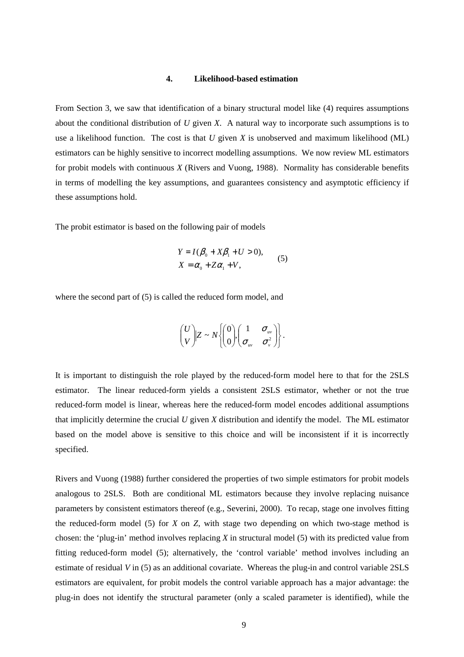#### **4. Likelihood-based estimation**

From Section 3, we saw that identification of a binary structural model like (4) requires assumptions about the conditional distribution of *U* given *X*. A natural way to incorporate such assumptions is to use a likelihood function. The cost is that *U* given *X* is unobserved and maximum likelihood (ML) estimators can be highly sensitive to incorrect modelling assumptions. We now review ML estimators for probit models with continuous *X* (Rivers and Vuong, 1988). Normality has considerable benefits in terms of modelling the key assumptions, and guarantees consistency and asymptotic efficiency if these assumptions hold.

The probit estimator is based on the following pair of models

$$
Y = I(\beta_0 + X\beta_1 + U > 0),
$$
  
\n
$$
X = \alpha_0 + Z\alpha_1 + V,
$$
\n(5)

where the second part of (5) is called the reduced form model, and

$$
\begin{pmatrix} U \\ V \end{pmatrix} Z \sim N \left\{ \begin{pmatrix} 0 \\ 0 \end{pmatrix}, \begin{pmatrix} 1 & \sigma_{uv} \\ \sigma_{uv} & \sigma_{v}^2 \end{pmatrix} \right\}.
$$

It is important to distinguish the role played by the reduced-form model here to that for the 2SLS estimator. The linear reduced-form yields a consistent 2SLS estimator, whether or not the true reduced-form model is linear, whereas here the reduced-form model encodes additional assumptions that implicitly determine the crucial *U* given *X* distribution and identify the model. The ML estimator based on the model above is sensitive to this choice and will be inconsistent if it is incorrectly specified.

Rivers and Vuong (1988) further considered the properties of two simple estimators for probit models analogous to 2SLS. Both are conditional ML estimators because they involve replacing nuisance parameters by consistent estimators thereof (e.g., Severini, 2000). To recap, stage one involves fitting the reduced-form model (5) for *X* on *Z*, with stage two depending on which two-stage method is chosen: the 'plug-in' method involves replacing *X* in structural model (5) with its predicted value from fitting reduced-form model (5); alternatively, the 'control variable' method involves including an estimate of residual *V* in (5) as an additional covariate. Whereas the plug-in and control variable 2SLS estimators are equivalent, for probit models the control variable approach has a major advantage: the plug-in does not identify the structural parameter (only a scaled parameter is identified), while the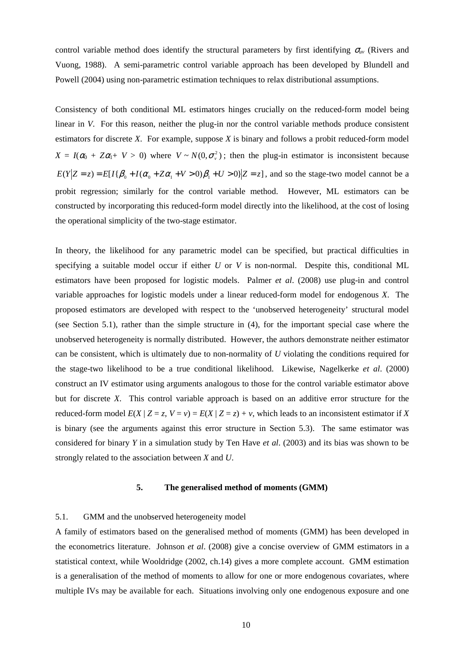control variable method does identify the structural parameters by first identifying  $\sigma_{uv}$  (Rivers and Vuong, 1988). A semi-parametric control variable approach has been developed by Blundell and Powell (2004) using non-parametric estimation techniques to relax distributional assumptions.

Consistency of both conditional ML estimators hinges crucially on the reduced-form model being linear in *V*. For this reason, neither the plug-in nor the control variable methods produce consistent estimators for discrete *X*. For example, suppose *X* is binary and follows a probit reduced-form model  $X = I(\alpha_0 + Z\alpha_1 + V > 0)$  where  $V \sim N(0, \sigma_v^2)$ ; then the plug-in estimator is inconsistent because  $E(Y|Z=z) = E[I{\beta_0 + I(\alpha_0 + Z\alpha_1 + V > 0)}\beta_1 + U > 0]Z=z]$ , and so the stage-two model cannot be a probit regression; similarly for the control variable method. However, ML estimators can be constructed by incorporating this reduced-form model directly into the likelihood, at the cost of losing the operational simplicity of the two-stage estimator.

In theory, the likelihood for any parametric model can be specified, but practical difficulties in specifying a suitable model occur if either *U* or *V* is non-normal. Despite this, conditional ML estimators have been proposed for logistic models. Palmer *et al*. (2008) use plug-in and control variable approaches for logistic models under a linear reduced-form model for endogenous *X*. The proposed estimators are developed with respect to the 'unobserved heterogeneity' structural model (see Section 5.1), rather than the simple structure in (4), for the important special case where the unobserved heterogeneity is normally distributed. However, the authors demonstrate neither estimator can be consistent, which is ultimately due to non-normality of *U* violating the conditions required for the stage-two likelihood to be a true conditional likelihood. Likewise, Nagelkerke *et al*. (2000) construct an IV estimator using arguments analogous to those for the control variable estimator above but for discrete *X*. This control variable approach is based on an additive error structure for the reduced-form model  $E(X | Z = z, V = v) = E(X | Z = z) + v$ , which leads to an inconsistent estimator if X is binary (see the arguments against this error structure in Section 5.3). The same estimator was considered for binary *Y* in a simulation study by Ten Have *et al*. (2003) and its bias was shown to be strongly related to the association between *X* and *U*.

#### **5. The generalised method of moments (GMM)**

#### 5.1. GMM and the unobserved heterogeneity model

A family of estimators based on the generalised method of moments (GMM) has been developed in the econometrics literature. Johnson *et al*. (2008) give a concise overview of GMM estimators in a statistical context, while Wooldridge (2002, ch.14) gives a more complete account. GMM estimation is a generalisation of the method of moments to allow for one or more endogenous covariates, where multiple IVs may be available for each. Situations involving only one endogenous exposure and one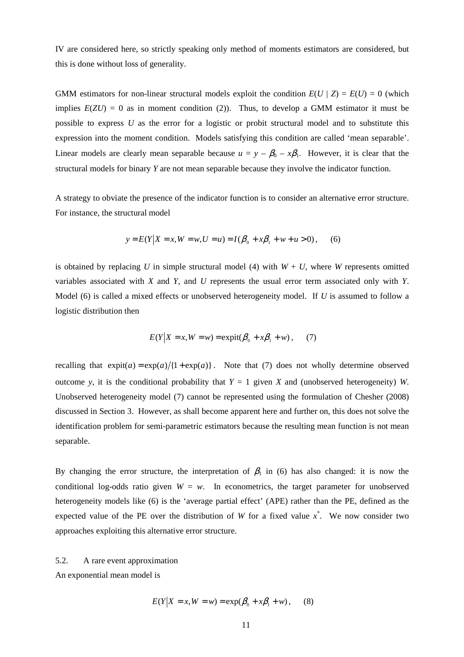IV are considered here, so strictly speaking only method of moments estimators are considered, but this is done without loss of generality.

GMM estimators for non-linear structural models exploit the condition  $E(U | Z) = E(U) = 0$  (which implies  $E(ZU) = 0$  as in moment condition (2)). Thus, to develop a GMM estimator it must be possible to express *U* as the error for a logistic or probit structural model and to substitute this expression into the moment condition. Models satisfying this condition are called 'mean separable'. Linear models are clearly mean separable because  $u = y - \beta_0 - x\beta_1$ . However, it is clear that the structural models for binary *Y* are not mean separable because they involve the indicator function.

A strategy to obviate the presence of the indicator function is to consider an alternative error structure. For instance, the structural model

$$
y = E(Y|X = x, W = w, U = u) = I(\beta_0 + x\beta_1 + w + u > 0),
$$
 (6)

is obtained by replacing *U* in simple structural model (4) with  $W + U$ , where *W* represents omitted variables associated with *X* and *Y*, and *U* represents the usual error term associated only with *Y*. Model (6) is called a mixed effects or unobserved heterogeneity model. If *U* is assumed to follow a logistic distribution then

$$
E(Y|X = x, W = w) = \expit(\beta_0 + x\beta_1 + w)
$$
, (7)

recalling that  $exp(i) = exp(a)/{1 + exp(a)}$ . Note that (7) does not wholly determine observed outcome *y*, it is the conditional probability that  $Y = 1$  given X and (unobserved heterogeneity) *W*. Unobserved heterogeneity model (7) cannot be represented using the formulation of Chesher (2008) discussed in Section 3. However, as shall become apparent here and further on, this does not solve the identification problem for semi-parametric estimators because the resulting mean function is not mean separable.

By changing the error structure, the interpretation of  $\beta_1$  in (6) has also changed: it is now the conditional log-odds ratio given  $W = w$ . In econometrics, the target parameter for unobserved heterogeneity models like (6) is the 'average partial effect' (APE) rather than the PE, defined as the expected value of the PE over the distribution of *W* for a fixed value  $x^*$ . We now consider two approaches exploiting this alternative error structure.

5.2. A rare event approximation

An exponential mean model is

$$
E(Y|X = x, W = w) = \exp(\beta_0 + x\beta_1 + w),
$$
 (8)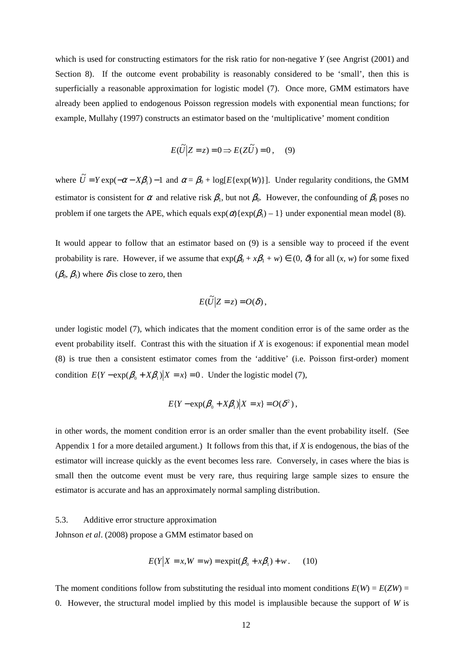which is used for constructing estimators for the risk ratio for non-negative *Y* (see Angrist (2001) and Section 8). If the outcome event probability is reasonably considered to be 'small', then this is superficially a reasonable approximation for logistic model (7). Once more, GMM estimators have already been applied to endogenous Poisson regression models with exponential mean functions; for example, Mullahy (1997) constructs an estimator based on the 'multiplicative' moment condition

$$
E(\widetilde{U}|Z=z) = 0 \Longrightarrow E(Z\widetilde{U}) = 0, \quad (9)
$$

where  $\tilde{U} = Y \exp(-\alpha - X\beta_1) - 1$  and  $\alpha = \beta_0 + \log[E\{\exp(W)\}]$ . Under regularity conditions, the GMM estimator is consistent for  $\alpha$  and relative risk  $\beta_1$ , but not  $\beta_0$ . However, the confounding of  $\beta_0$  poses no problem if one targets the APE, which equals  $exp(\alpha){exp(\beta_1)} - 1$  under exponential mean model (8).

It would appear to follow that an estimator based on (9) is a sensible way to proceed if the event probability is rare. However, if we assume that  $exp(\beta_0 + x\beta_1 + w) \in (0, \delta)$  for all  $(x, w)$  for some fixed  $(\beta_0, \beta_1)$  where  $\delta$  is close to zero, then

$$
E(\widetilde{U}|Z=z) = O(\delta),
$$

under logistic model (7), which indicates that the moment condition error is of the same order as the event probability itself. Contrast this with the situation if *X* is exogenous: if exponential mean model (8) is true then a consistent estimator comes from the 'additive' (i.e. Poisson first-order) moment condition  $E{Y - exp(\beta_0 + X\beta_1)|X = x} = 0$ . Under the logistic model (7),

$$
E\{Y-\exp(\beta_0+X\beta_1)\big|X=x\}=O(\delta^2)\,,
$$

in other words, the moment condition error is an order smaller than the event probability itself. (See Appendix 1 for a more detailed argument.) It follows from this that, if *X* is endogenous, the bias of the estimator will increase quickly as the event becomes less rare. Conversely, in cases where the bias is small then the outcome event must be very rare, thus requiring large sample sizes to ensure the estimator is accurate and has an approximately normal sampling distribution.

### 5.3. Additive error structure approximation

Johnson *et al*. (2008) propose a GMM estimator based on

$$
E(Y|X = x, W = w) = \expit(\beta_0 + x\beta_1) + w.
$$
 (10)

The moment conditions follow from substituting the residual into moment conditions  $E(W) = E(ZW)$ 0. However, the structural model implied by this model is implausible because the support of *W* is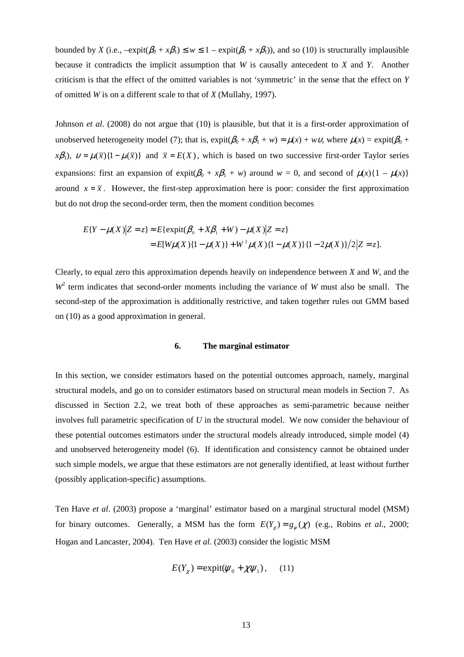bounded by *X* (i.e.,  $-\expit(\beta_0 + x\beta_1) \leq w \leq 1 - \expit(\beta_0 + x\beta_1)$ ), and so (10) is structurally implausible because it contradicts the implicit assumption that *W* is causally antecedent to *X* and *Y*. Another criticism is that the effect of the omitted variables is not 'symmetric' in the sense that the effect on *Y* of omitted *W* is on a different scale to that of *X* (Mullahy, 1997).

Johnson *et al*. (2008) do not argue that (10) is plausible, but that it is a first-order approximation of unobserved heterogeneity model (7); that is,  $expit(\beta_0 + x\beta_1 + w) \approx \mu(x) + wv$ , where  $\mu(x) = expit(\beta_0 + x\beta_1 + w)$ *x* $\beta_1$ ),  $v = \mu(\bar{x})\{1-\mu(\bar{x})\}$  and  $\bar{x} = E(X)$ , which is based on two successive first-order Taylor series expansions: first an expansion of expit $(\beta_0 + x\beta_1 + w)$  around  $w = 0$ , and second of  $\mu(x)\{1 - \mu(x)\}\$ around  $x = \overline{x}$ . However, the first-step approximation here is poor: consider the first approximation but do not drop the second-order term, then the moment condition becomes

$$
E\{Y - \mu(X)|Z = z\} \approx E\{\text{expit}(\beta_0 + X\beta_1 + W) - \mu(X)|Z = z\}
$$
  
= 
$$
E[W\mu(X)\{1 - \mu(X)\} + W^2\mu(X)\{1 - \mu(X)\}\{1 - 2\mu(X)\}/2|Z = z].
$$

Clearly, to equal zero this approximation depends heavily on independence between *X* and *W*, and the  $W<sup>2</sup>$  term indicates that second-order moments including the variance of *W* must also be small. The second-step of the approximation is additionally restrictive, and taken together rules out GMM based on (10) as a good approximation in general.

#### **6. The marginal estimator**

In this section, we consider estimators based on the potential outcomes approach, namely, marginal structural models, and go on to consider estimators based on structural mean models in Section 7. As discussed in Section 2.2, we treat both of these approaches as semi-parametric because neither involves full parametric specification of *U* in the structural model. We now consider the behaviour of these potential outcomes estimators under the structural models already introduced, simple model (4) and unobserved heterogeneity model (6). If identification and consistency cannot be obtained under such simple models, we argue that these estimators are not generally identified, at least without further (possibly application-specific) assumptions.

Ten Have *et al*. (2003) propose a 'marginal' estimator based on a marginal structural model (MSM) for binary outcomes. Generally, a MSM has the form  $E(Y_\chi) = g_\psi(\chi)$  (e.g., Robins *et al.*, 2000; Hogan and Lancaster, 2004). Ten Have *et al*. (2003) consider the logistic MSM

$$
E(Y_{\chi}) = \text{expit}(\psi_0 + \chi \psi_1), \quad (11)
$$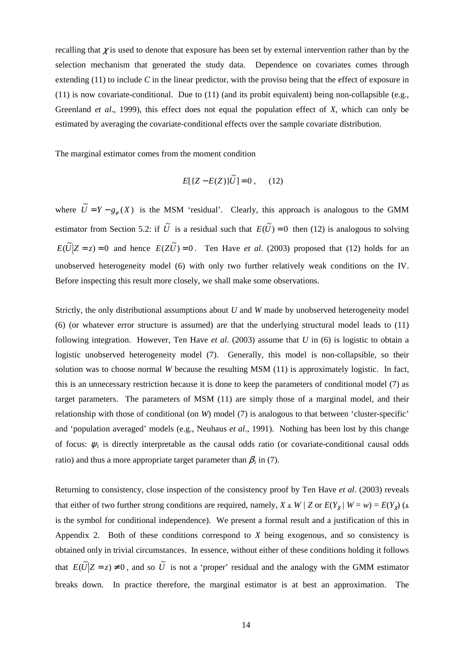recalling that  $\chi$  is used to denote that exposure has been set by external intervention rather than by the selection mechanism that generated the study data. Dependence on covariates comes through extending (11) to include *C* in the linear predictor, with the proviso being that the effect of exposure in (11) is now covariate-conditional. Due to (11) (and its probit equivalent) being non-collapsible (e.g., Greenland *et al*., 1999), this effect does not equal the population effect of *X*, which can only be estimated by averaging the covariate-conditional effects over the sample covariate distribution.

The marginal estimator comes from the moment condition

$$
E[{Z - E(Z)}\tilde{U}] = 0 , \quad (12)
$$

where  $\tilde{U} = Y - g_{\psi}(X)$  is the MSM 'residual'. Clearly, this approach is analogous to the GMM estimator from Section 5.2: if  $\tilde{U}$  is a residual such that  $E(\tilde{U}) = 0$  then (12) is analogous to solving  $E(\tilde{U}|Z=z) = 0$  and hence  $E(Z\tilde{U}) = 0$ . Ten Have *et al.* (2003) proposed that (12) holds for an unobserved heterogeneity model (6) with only two further relatively weak conditions on the IV. Before inspecting this result more closely, we shall make some observations.

Strictly, the only distributional assumptions about *U* and *W* made by unobserved heterogeneity model (6) (or whatever error structure is assumed) are that the underlying structural model leads to (11) following integration. However, Ten Have *et al*. (2003) assume that *U* in (6) is logistic to obtain a logistic unobserved heterogeneity model (7). Generally, this model is non-collapsible, so their solution was to choose normal *W* because the resulting MSM (11) is approximately logistic. In fact, this is an unnecessary restriction because it is done to keep the parameters of conditional model (7) as target parameters. The parameters of MSM (11) are simply those of a marginal model, and their relationship with those of conditional (on *W*) model (7) is analogous to that between 'cluster-specific' and 'population averaged' models (e.g., Neuhaus *et al*., 1991). Nothing has been lost by this change of focus:  $\psi_1$  is directly interpretable as the causal odds ratio (or covariate-conditional causal odds ratio) and thus a more appropriate target parameter than  $\beta_1$  in (7).

Returning to consistency, close inspection of the consistency proof by Ten Have *et al*. (2003) reveals that either of two further strong conditions are required, namely,  $X \perp W / Z$  or  $E(Y_\chi | W = w) = E(Y_\chi)$  ( $\perp$ is the symbol for conditional independence). We present a formal result and a justification of this in Appendix 2. Both of these conditions correspond to *X* being exogenous, and so consistency is obtained only in trivial circumstances. In essence, without either of these conditions holding it follows that  $E(\tilde{U}|Z=z) \neq 0$ , and so  $\tilde{U}$  is not a 'proper' residual and the analogy with the GMM estimator breaks down. In practice therefore, the marginal estimator is at best an approximation. The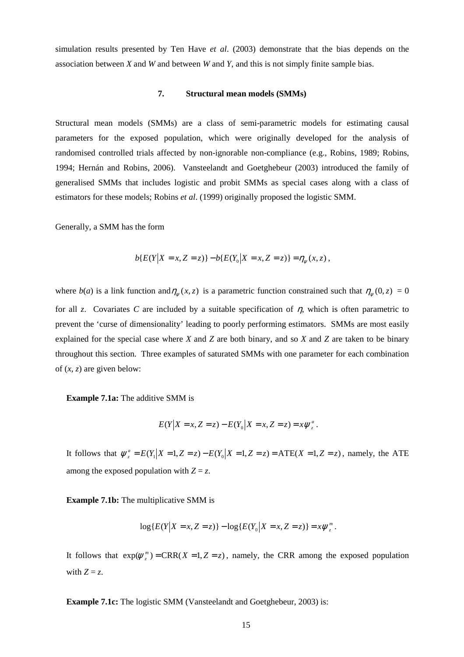simulation results presented by Ten Have *et al*. (2003) demonstrate that the bias depends on the association between *X* and *W* and between *W* and *Y*, and this is not simply finite sample bias.

#### **7. Structural mean models (SMMs)**

Structural mean models (SMMs) are a class of semi-parametric models for estimating causal parameters for the exposed population, which were originally developed for the analysis of randomised controlled trials affected by non-ignorable non-compliance (e.g., Robins, 1989; Robins, 1994; Hernán and Robins, 2006). Vansteelandt and Goetghebeur (2003) introduced the family of generalised SMMs that includes logistic and probit SMMs as special cases along with a class of estimators for these models; Robins *et al*. (1999) originally proposed the logistic SMM.

Generally, a SMM has the form

$$
b\{E(Y|X=x,Z=z)\} - b\{E(Y_0|X=x,Z=z)\} = \eta_{\psi}(x,z),
$$

where  $b(a)$  is a link function and  $\eta_{\psi}(x, z)$  is a parametric function constrained such that  $\eta_{\psi}(0, z) = 0$ for all *z*. Covariates *C* are included by a suitable specification of  $\eta$ , which is often parametric to prevent the 'curse of dimensionality' leading to poorly performing estimators. SMMs are most easily explained for the special case where *X* and *Z* are both binary, and so *X* and *Z* are taken to be binary throughout this section. Three examples of saturated SMMs with one parameter for each combination of  $(x, z)$  are given below:

**Example 7.1a:** The additive SMM is

$$
E(Y|X = x, Z = z) - E(Y_0|X = x, Z = z) = x \psi_z^a.
$$

It follows that  $\psi_z^a = E(Y_1 | X = 1, Z = z) - E(Y_0 | X = 1, Z = z) = ATE(X = 1, Z = z)$ , namely, the ATE among the exposed population with  $Z = z$ .

**Example 7.1b:** The multiplicative SMM is

$$
\log\{E(Y|X=x,Z=z)\} - \log\{E(Y_0|X=x,Z=z)\} = x\psi_z^m.
$$

It follows that  $exp(\psi_z^m) = CRR(X = 1, Z = z)$ , namely, the CRR among the exposed population with  $Z = z$ .

**Example 7.1c:** The logistic SMM (Vansteelandt and Goetghebeur, 2003) is: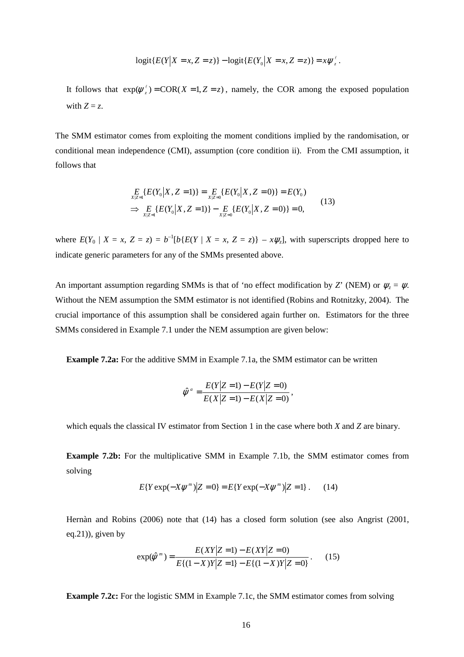$$
logit\{E(Y|X = x, Z = z)\} - logit\{E(Y_0|X = x, Z = z)\} = x\psi_z^{\ell}.
$$

It follows that  $exp(\psi_z^{\ell}) = COR(X = 1, Z = z)$ , namely, the COR among the exposed population with  $Z = z$ .

The SMM estimator comes from exploiting the moment conditions implied by the randomisation, or conditional mean independence (CMI), assumption (core condition ii). From the CMI assumption, it follows that

$$
\begin{aligned} &E_{X|Z=1}\{E(Y_0|X,Z=1)\} = \, \underset{X|Z=0}{E} \{E(Y_0|X,Z=0)\} = E(Y_0) \\ &\Rightarrow \, \underset{X|Z=1}{E} \{E(Y_0|X,Z=1)\} - \underset{X|Z=0}{E} \{E(Y_0|X,Z=0)\} = 0, \end{aligned} \tag{13}
$$

where  $E(Y_0 | X = x, Z = z) = b^{-1}[b{E(Y | X = x, Z = z)} - x\psi_z]$ , with superscripts dropped here to indicate generic parameters for any of the SMMs presented above.

An important assumption regarding SMMs is that of 'no effect modification by *Z*' (NEM) or  $\psi_z = \psi$ . Without the NEM assumption the SMM estimator is not identified (Robins and Rotnitzky, 2004). The crucial importance of this assumption shall be considered again further on. Estimators for the three SMMs considered in Example 7.1 under the NEM assumption are given below:

**Example 7.2a:** For the additive SMM in Example 7.1a, the SMM estimator can be written

$$
\hat{\psi}^a = \frac{E(Y|Z=1) - E(Y|Z=0)}{E(X|Z=1) - E(X|Z=0)},
$$

which equals the classical IV estimator from Section 1 in the case where both *X* and *Z* are binary.

**Example 7.2b:** For the multiplicative SMM in Example 7.1b, the SMM estimator comes from solving

$$
E\{Y \exp(-X\psi^{m})|Z=0\} = E\{Y \exp(-X\psi^{m})|Z=1\}.
$$
 (14)

Hernàn and Robins (2006) note that (14) has a closed form solution (see also Angrist (2001, eq.21)), given by

$$
\exp(\hat{\psi}^{m}) = \frac{E(XY|Z=1) - E(XY|Z=0)}{E\{(1-X)Y|Z=1\} - E\{(1-X)Y|Z=0\}}.\tag{15}
$$

**Example 7.2c:** For the logistic SMM in Example 7.1c, the SMM estimator comes from solving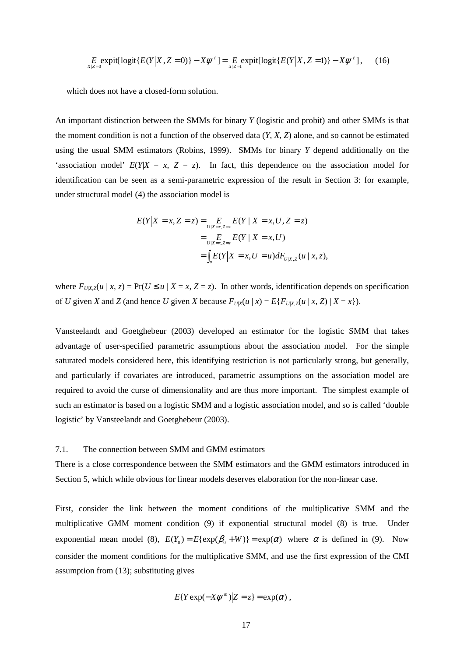$$
E_{X|Z=0} \text{expit}[\text{logit}\{E(Y|X,Z=0)\} - X\psi^{\ell}] = E_{X|Z=1} \text{expit}[\text{logit}\{E(Y|X,Z=1)\} - X\psi^{\ell}], \quad (16)
$$

which does not have a closed-form solution.

An important distinction between the SMMs for binary *Y* (logistic and probit) and other SMMs is that the moment condition is not a function of the observed data (*Y*, *X*, *Z*) alone, and so cannot be estimated using the usual SMM estimators (Robins, 1999). SMMs for binary *Y* depend additionally on the 'association model'  $E(Y|X = x, Z = z)$ . In fact, this dependence on the association model for identification can be seen as a semi-parametric expression of the result in Section 3: for example, under structural model (4) the association model is

$$
E(Y|X = x, Z = z) = \sum_{U|X=x, Z=z} E(Y | X = x, U, Z = z)
$$
  
= 
$$
\sum_{U|X=x, Z=z} E(Y | X = x, U)
$$
  
= 
$$
\int_{u} E(Y | X = x, U = u) dF_{U|X, Z}(u | x, z),
$$

where  $F_{U|X}$ <sub> $Z$ </sub>( $u | x, z$ ) = Pr( $U \le u | X = x, Z = z$ ). In other words, identification depends on specification of U given X and Z (and hence U given X because  $F_{U|X}(u | x) = E\{F_{U|X,Z}(u | x, Z) | X = x\}$ ).

Vansteelandt and Goetghebeur (2003) developed an estimator for the logistic SMM that takes advantage of user-specified parametric assumptions about the association model. For the simple saturated models considered here, this identifying restriction is not particularly strong, but generally, and particularly if covariates are introduced, parametric assumptions on the association model are required to avoid the curse of dimensionality and are thus more important. The simplest example of such an estimator is based on a logistic SMM and a logistic association model, and so is called 'double logistic' by Vansteelandt and Goetghebeur (2003).

#### 7.1. The connection between SMM and GMM estimators

There is a close correspondence between the SMM estimators and the GMM estimators introduced in Section 5, which while obvious for linear models deserves elaboration for the non-linear case.

First, consider the link between the moment conditions of the multiplicative SMM and the multiplicative GMM moment condition (9) if exponential structural model (8) is true. Under exponential mean model (8),  $E(Y_0) = E\{\exp(\beta_0 + W)\} = \exp(\alpha)$  where  $\alpha$  is defined in (9). Now consider the moment conditions for the multiplicative SMM, and use the first expression of the CMI assumption from (13); substituting gives

$$
E\{Y\exp(-X\psi^m)|Z=z\}=\exp(\alpha)\,
$$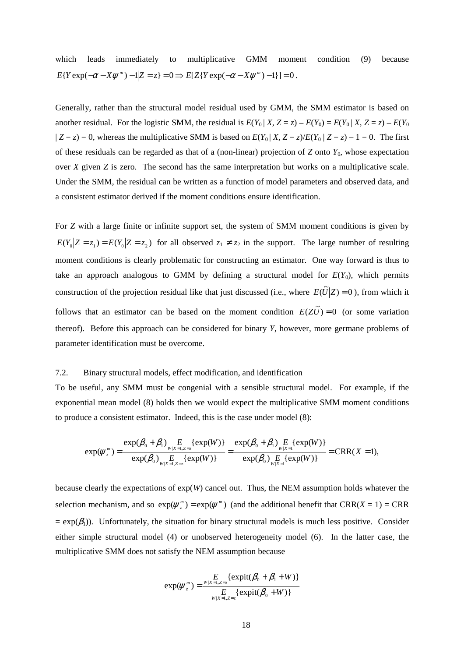which leads immediately to multiplicative GMM moment condition (9) because  $E\{Y \exp(-\alpha - X\psi^m) - 1 | Z = z\} = 0 \Rightarrow E[Z\{Y \exp(-\alpha - X\psi^m) - 1\}] = 0.$ 

Generally, rather than the structural model residual used by GMM, the SMM estimator is based on another residual. For the logistic SMM, the residual is  $E(Y_0 | X, Z = z) - E(Y_0) = E(Y_0 | X, Z = z) - E(Y_0)$  $|Z = z$ ) = 0, whereas the multiplicative SMM is based on  $E(Y_0 | X, Z = z)/E(Y_0 | Z = z) - 1 = 0$ . The first of these residuals can be regarded as that of a (non-linear) projection of  $Z$  onto  $Y_0$ , whose expectation over *X* given *Z* is zero. The second has the same interpretation but works on a multiplicative scale. Under the SMM, the residual can be written as a function of model parameters and observed data, and a consistent estimator derived if the moment conditions ensure identification.

For *Z* with a large finite or infinite support set, the system of SMM moment conditions is given by  $E(Y_0 | Z = z_1) = E(Y_0 | Z = z_2)$  for all observed  $z_1 \neq z_2$  in the support. The large number of resulting moment conditions is clearly problematic for constructing an estimator. One way forward is thus to take an approach analogous to GMM by defining a structural model for  $E(Y_0)$ , which permits construction of the projection residual like that just discussed (i.e., where  $E(\tilde{U}|Z) = 0$ ), from which it follows that an estimator can be based on the moment condition  $E(Z\tilde{U}) = 0$  (or some variation thereof). Before this approach can be considered for binary *Y*, however, more germane problems of parameter identification must be overcome.

## 7.2. Binary structural models, effect modification, and identification

To be useful, any SMM must be congenial with a sensible structural model. For example, if the exponential mean model (8) holds then we would expect the multiplicative SMM moment conditions to produce a consistent estimator. Indeed, this is the case under model (8):

$$
\exp(\psi_{z}^{m}) = \frac{\exp(\beta_{0} + \beta_{1})_{W|X=1,Z=z}\{\exp(W)\}}{\exp(\beta_{0})_{W|X=1,Z=z}\{\exp(W)\}} = \frac{\exp(\beta_{0} + \beta_{1})_{W|X=1}E\{\exp(W)\}}{\exp(\beta_{0})_{W|X=1}E\{\exp(W)\}} = \text{CRR}(X=1),
$$

because clearly the expectations of  $exp(W)$  cancel out. Thus, the NEM assumption holds whatever the selection mechanism, and so  $exp(\psi_{z}^{m}) = exp(\psi^{m})$  (and the additional benefit that CRR(*X* = 1) = CRR  $= \exp(\beta_1)$ ). Unfortunately, the situation for binary structural models is much less positive. Consider either simple structural model (4) or unobserved heterogeneity model (6). In the latter case, the multiplicative SMM does not satisfy the NEM assumption because

$$
\exp(\psi_z^m) = \frac{E}{\sum_{W|X=1,Z=z}} \{ \expit(\beta_0 + \beta_1 + W) \}
$$
  

$$
E_{W|X=1,Z=z} \{ \expit(\beta_0 + W) \}
$$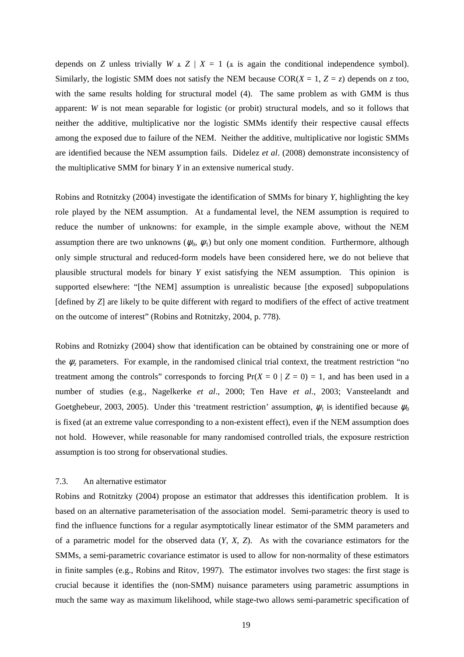depends on *Z* unless trivially  $W \perp Z \mid X = 1$  ( $\perp$  is again the conditional independence symbol). Similarly, the logistic SMM does not satisfy the NEM because  $COR(X = 1, Z = z)$  depends on *z* too, with the same results holding for structural model (4). The same problem as with GMM is thus apparent: *W* is not mean separable for logistic (or probit) structural models, and so it follows that neither the additive, multiplicative nor the logistic SMMs identify their respective causal effects among the exposed due to failure of the NEM. Neither the additive, multiplicative nor logistic SMMs are identified because the NEM assumption fails. Didelez *et al*. (2008) demonstrate inconsistency of the multiplicative SMM for binary *Y* in an extensive numerical study.

Robins and Rotnitzky (2004) investigate the identification of SMMs for binary *Y*, highlighting the key role played by the NEM assumption. At a fundamental level, the NEM assumption is required to reduce the number of unknowns: for example, in the simple example above, without the NEM assumption there are two unknowns ( $\psi_0$ ,  $\psi_1$ ) but only one moment condition. Furthermore, although only simple structural and reduced-form models have been considered here, we do not believe that plausible structural models for binary *Y* exist satisfying the NEM assumption. This opinion is supported elsewhere: "[the NEM] assumption is unrealistic because [the exposed] subpopulations [defined by *Z*] are likely to be quite different with regard to modifiers of the effect of active treatment on the outcome of interest" (Robins and Rotnitzky, 2004, p. 778).

Robins and Rotnizky (2004) show that identification can be obtained by constraining one or more of the  $\psi$ <sub>z</sub> parameters. For example, in the randomised clinical trial context, the treatment restriction "no treatment among the controls" corresponds to forcing  $Pr(X = 0 | Z = 0) = 1$ , and has been used in a number of studies (e.g., Nagelkerke *et al*., 2000; Ten Have *et al*., 2003; Vansteelandt and Goetghebeur, 2003, 2005). Under this 'treatment restriction' assumption,  $\psi_1$  is identified because  $\psi_0$ is fixed (at an extreme value corresponding to a non-existent effect), even if the NEM assumption does not hold. However, while reasonable for many randomised controlled trials, the exposure restriction assumption is too strong for observational studies.

#### 7.3. An alternative estimator

Robins and Rotnitzky (2004) propose an estimator that addresses this identification problem. It is based on an alternative parameterisation of the association model. Semi-parametric theory is used to find the influence functions for a regular asymptotically linear estimator of the SMM parameters and of a parametric model for the observed data (*Y*, *X*, *Z*). As with the covariance estimators for the SMMs, a semi-parametric covariance estimator is used to allow for non-normality of these estimators in finite samples (e.g., Robins and Ritov, 1997). The estimator involves two stages: the first stage is crucial because it identifies the (non-SMM) nuisance parameters using parametric assumptions in much the same way as maximum likelihood, while stage-two allows semi-parametric specification of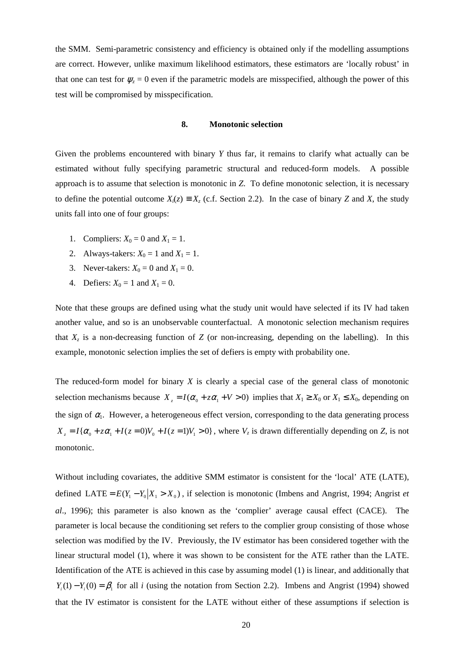the SMM. Semi-parametric consistency and efficiency is obtained only if the modelling assumptions are correct. However, unlike maximum likelihood estimators, these estimators are 'locally robust' in that one can test for  $\psi_z = 0$  even if the parametric models are misspecified, although the power of this test will be compromised by misspecification.

#### **8. Monotonic selection**

Given the problems encountered with binary *Y* thus far, it remains to clarify what actually can be estimated without fully specifying parametric structural and reduced-form models. A possible approach is to assume that selection is monotonic in *Z*. To define monotonic selection, it is necessary to define the potential outcome  $X_i(z) \equiv X_z$  (c.f. Section 2.2). In the case of binary *Z* and *X*, the study units fall into one of four groups:

- 1. Compliers:  $X_0 = 0$  and  $X_1 = 1$ .
- 2. Always-takers:  $X_0 = 1$  and  $X_1 = 1$ .
- 3. Never-takers:  $X_0 = 0$  and  $X_1 = 0$ .
- 4. Defiers:  $X_0 = 1$  and  $X_1 = 0$ .

Note that these groups are defined using what the study unit would have selected if its IV had taken another value, and so is an unobservable counterfactual. A monotonic selection mechanism requires that  $X_z$  is a non-decreasing function of *Z* (or non-increasing, depending on the labelling). In this example, monotonic selection implies the set of defiers is empty with probability one.

The reduced-form model for binary *X* is clearly a special case of the general class of monotonic selection mechanisms because  $X_z = I(\alpha_0 + z\alpha_1 + V > 0)$  implies that  $X_1 \ge X_0$  or  $X_1 \le X_0$ , depending on the sign of  $\alpha_1$ . However, a heterogeneous effect version, corresponding to the data generating process  $X_z = I\{\alpha_0 + z\alpha_1 + I(z=0)V_0 + I(z=1)V_1 > 0\}$ , where  $V_z$  is drawn differentially depending on *Z*, is not monotonic.

Without including covariates, the additive SMM estimator is consistent for the 'local' ATE (LATE), defined LATE =  $E(Y_1 - Y_0 | X_1 > X_0)$ , if selection is monotonic (Imbens and Angrist, 1994; Angrist *et al*., 1996); this parameter is also known as the 'complier' average causal effect (CACE). The parameter is local because the conditioning set refers to the complier group consisting of those whose selection was modified by the IV. Previously, the IV estimator has been considered together with the linear structural model (1), where it was shown to be consistent for the ATE rather than the LATE. Identification of the ATE is achieved in this case by assuming model (1) is linear, and additionally that  $Y_i(1) - Y_i(0) = \beta_1$  for all *i* (using the notation from Section 2.2). Imbens and Angrist (1994) showed that the IV estimator is consistent for the LATE without either of these assumptions if selection is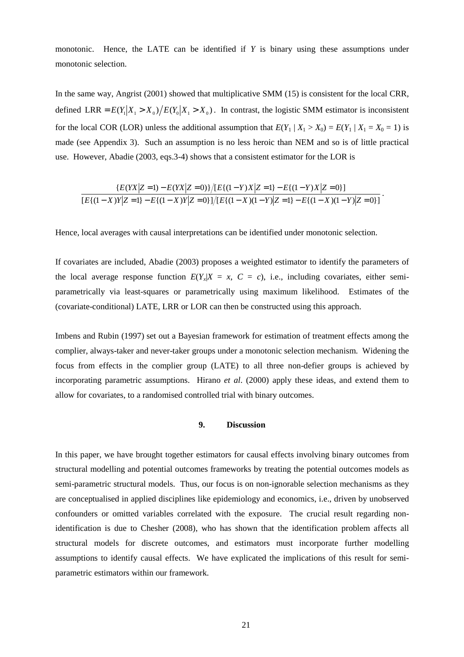monotonic. Hence, the LATE can be identified if *Y* is binary using these assumptions under monotonic selection.

In the same way, Angrist (2001) showed that multiplicative SMM (15) is consistent for the local CRR, defined LRR =  $E(Y_1 | X_1 > X_0) / E(Y_0 | X_1 > X_0)$ . In contrast, the logistic SMM estimator is inconsistent for the local COR (LOR) unless the additional assumption that  $E(Y_1 | X_1 > X_0) = E(Y_1 | X_1 = X_0 = 1)$  is made (see Appendix 3). Such an assumption is no less heroic than NEM and so is of little practical use. However, Abadie (2003, eqs.3-4) shows that a consistent estimator for the LOR is

$$
\frac{E(YX|Z=1) - E(YX|Z=0)}{[E\{(1-X)Y|Z=1\} - E\{(1-Y)X|Z=0\}][E\{(1-Y)(1-Y)|Z=1\} - E\{(1-X)Y|Z=0\}]}
$$

.

Hence, local averages with causal interpretations can be identified under monotonic selection.

If covariates are included, Abadie (2003) proposes a weighted estimator to identify the parameters of the local average response function  $E(Y_x|X = x, C = c)$ , i.e., including covariates, either semiparametrically via least-squares or parametrically using maximum likelihood. Estimates of the (covariate-conditional) LATE, LRR or LOR can then be constructed using this approach.

Imbens and Rubin (1997) set out a Bayesian framework for estimation of treatment effects among the complier, always-taker and never-taker groups under a monotonic selection mechanism. Widening the focus from effects in the complier group (LATE) to all three non-defier groups is achieved by incorporating parametric assumptions. Hirano *et al*. (2000) apply these ideas, and extend them to allow for covariates, to a randomised controlled trial with binary outcomes.

## **9. Discussion**

In this paper, we have brought together estimators for causal effects involving binary outcomes from structural modelling and potential outcomes frameworks by treating the potential outcomes models as semi-parametric structural models. Thus, our focus is on non-ignorable selection mechanisms as they are conceptualised in applied disciplines like epidemiology and economics, i.e., driven by unobserved confounders or omitted variables correlated with the exposure. The crucial result regarding nonidentification is due to Chesher (2008), who has shown that the identification problem affects all structural models for discrete outcomes, and estimators must incorporate further modelling assumptions to identify causal effects. We have explicated the implications of this result for semiparametric estimators within our framework.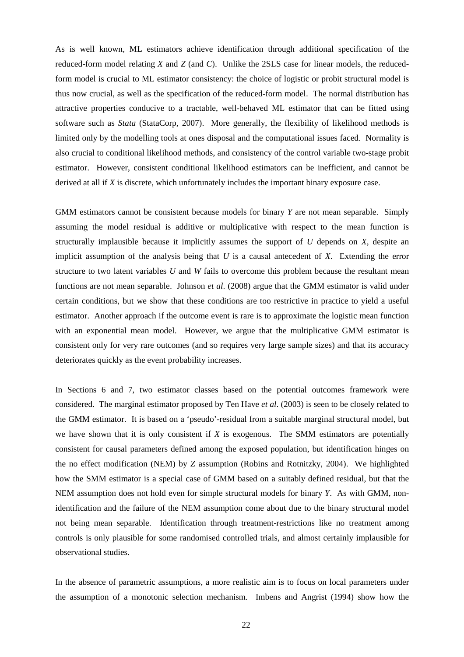As is well known, ML estimators achieve identification through additional specification of the reduced-form model relating *X* and *Z* (and *C*). Unlike the 2SLS case for linear models, the reducedform model is crucial to ML estimator consistency: the choice of logistic or probit structural model is thus now crucial, as well as the specification of the reduced-form model. The normal distribution has attractive properties conducive to a tractable, well-behaved ML estimator that can be fitted using software such as *Stata* (StataCorp, 2007). More generally, the flexibility of likelihood methods is limited only by the modelling tools at ones disposal and the computational issues faced. Normality is also crucial to conditional likelihood methods, and consistency of the control variable two-stage probit estimator. However, consistent conditional likelihood estimators can be inefficient, and cannot be derived at all if *X* is discrete, which unfortunately includes the important binary exposure case.

GMM estimators cannot be consistent because models for binary *Y* are not mean separable. Simply assuming the model residual is additive or multiplicative with respect to the mean function is structurally implausible because it implicitly assumes the support of *U* depends on *X*, despite an implicit assumption of the analysis being that *U* is a causal antecedent of *X*. Extending the error structure to two latent variables *U* and *W* fails to overcome this problem because the resultant mean functions are not mean separable. Johnson *et al*. (2008) argue that the GMM estimator is valid under certain conditions, but we show that these conditions are too restrictive in practice to yield a useful estimator. Another approach if the outcome event is rare is to approximate the logistic mean function with an exponential mean model. However, we argue that the multiplicative GMM estimator is consistent only for very rare outcomes (and so requires very large sample sizes) and that its accuracy deteriorates quickly as the event probability increases.

In Sections 6 and 7, two estimator classes based on the potential outcomes framework were considered. The marginal estimator proposed by Ten Have *et al*. (2003) is seen to be closely related to the GMM estimator. It is based on a 'pseudo'-residual from a suitable marginal structural model, but we have shown that it is only consistent if *X* is exogenous. The SMM estimators are potentially consistent for causal parameters defined among the exposed population, but identification hinges on the no effect modification (NEM) by *Z* assumption (Robins and Rotnitzky, 2004). We highlighted how the SMM estimator is a special case of GMM based on a suitably defined residual, but that the NEM assumption does not hold even for simple structural models for binary *Y*. As with GMM, nonidentification and the failure of the NEM assumption come about due to the binary structural model not being mean separable. Identification through treatment-restrictions like no treatment among controls is only plausible for some randomised controlled trials, and almost certainly implausible for observational studies.

In the absence of parametric assumptions, a more realistic aim is to focus on local parameters under the assumption of a monotonic selection mechanism. Imbens and Angrist (1994) show how the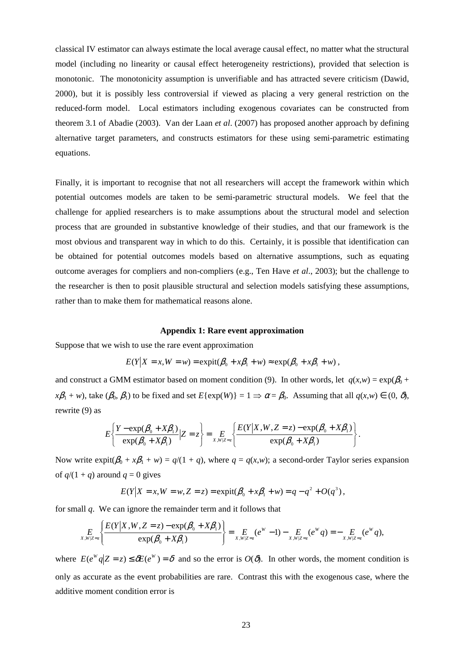classical IV estimator can always estimate the local average causal effect, no matter what the structural model (including no linearity or causal effect heterogeneity restrictions), provided that selection is monotonic. The monotonicity assumption is unverifiable and has attracted severe criticism (Dawid, 2000), but it is possibly less controversial if viewed as placing a very general restriction on the reduced-form model. Local estimators including exogenous covariates can be constructed from theorem 3.1 of Abadie (2003). Van der Laan *et al*. (2007) has proposed another approach by defining alternative target parameters, and constructs estimators for these using semi-parametric estimating equations.

Finally, it is important to recognise that not all researchers will accept the framework within which potential outcomes models are taken to be semi-parametric structural models. We feel that the challenge for applied researchers is to make assumptions about the structural model and selection process that are grounded in substantive knowledge of their studies, and that our framework is the most obvious and transparent way in which to do this. Certainly, it is possible that identification can be obtained for potential outcomes models based on alternative assumptions, such as equating outcome averages for compliers and non-compliers (e.g., Ten Have *et al*., 2003); but the challenge to the researcher is then to posit plausible structural and selection models satisfying these assumptions, rather than to make them for mathematical reasons alone.

#### **Appendix 1: Rare event approximation**

Suppose that we wish to use the rare event approximation

$$
E(Y|X = x, W = w) = \text{expit}(\beta_0 + x\beta_1 + w) \approx \text{exp}(\beta_0 + x\beta_1 + w),
$$

and construct a GMM estimator based on moment condition (9). In other words, let  $q(x,w) = \exp(\beta_0 +$  $x\beta_1 + w$ , take  $(\beta_0, \beta_1)$  to be fixed and set  $E\{\exp(W)\} = 1 \implies \alpha = \beta_0$ . Assuming that all  $q(x, w) \in (0, \delta)$ , rewrite (9) as

$$
E\left\{\frac{Y-\exp(\beta_0+X\beta_1)}{\exp(\beta_0+X\beta_1)}\Big| Z=z\right\} = \underset{X,W|Z=z}{E\left\{\frac{E(Y|X,W,Z=z)-\exp(\beta_0+X\beta_1)}{\exp(\beta_0+X\beta_1)}\right\}}.
$$

Now write  $\exp\left(\frac{\beta_0 + x\beta_1 + w\right) = q/(1 + q)}$ , where  $q = q(x, w)$ ; a second-order Taylor series expansion of  $q/(1 + q)$  around  $q = 0$  gives

$$
E(Y|X = x, W = w, Z = z) = \text{expit}(\beta_0 + x\beta_1 + w) = q - q^2 + O(q^3),
$$

for small *q*. We can ignore the remainder term and it follows that

$$
\underset{X,W|Z=z}{E}\left\{\frac{E(Y|X,W,Z=z)-\exp(\beta_0+X\beta_1)}{\exp(\beta_0+X\beta_1)}\right\}=\underset{X,W|Z=z}{E}(e^W-1)-\underset{X,W|Z=z}{E}(e^Wq)=-\underset{X,W|Z=z}{E}(e^Wq),
$$

where  $E(e^W q | Z = z) \le \delta E(e^W) = \delta$  and so the error is  $O(\delta)$ . In other words, the moment condition is only as accurate as the event probabilities are rare. Contrast this with the exogenous case, where the additive moment condition error is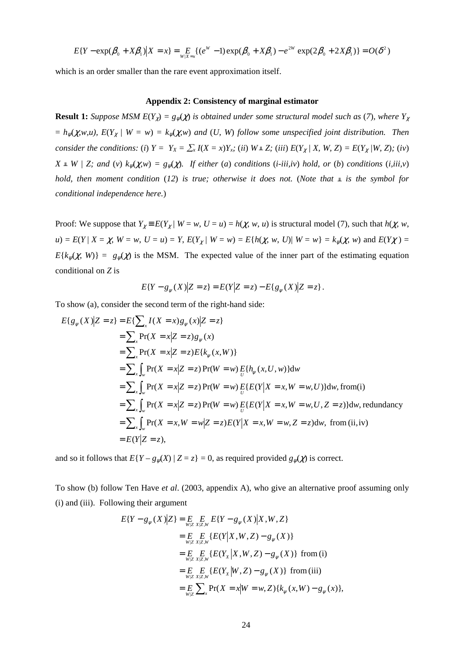$$
E\{Y - \exp(\beta_0 + X\beta_1)|X = x\} = E_{W|X=x}\{(e^W - 1)\exp(\beta_0 + X\beta_1) - e^{2W}\exp(2\beta_0 + 2X\beta_1)\} = O(\delta^2)
$$

which is an order smaller than the rare event approximation itself.

### **Appendix 2: Consistency of marginal estimator**

**Result 1:** Suppose MSM  $E(Y_\gamma) = g_\gamma(\chi)$  is obtained under some structural model such as (7), where  $Y_\gamma$  $= h_{\psi}(\chi, w, u)$ ,  $E(Y_{\chi} | W = w) = k_{\psi}(\chi, w)$  and (*U, W*) follow some unspecified joint distribution. Then consider the conditions: (i)  $Y = Y_X = \sum_{x} I(X = x)Y_{x}$ ; (ii)  $W \perp Z$ ; (iii)  $E(Y_X / X, W, Z) = E(Y_X / W, Z)$ ; (iv)  $X \perp W / Z$ ; and (*v*)  $k_w(\chi, w) = g_w(\chi)$ *. If either (a) conditions (i-iii,iv) hold, or (b) conditions (<i>i,iii,v*) *hold, then moment condition* (12) *is true; otherwise it does not.* (*Note that*  $\mathbb{L}$  *is the symbol for conditional independence here.*)

Proof: We suppose that  $Y_\chi = E(Y_\chi | W = w, U = u) = h(\chi, w, u)$  is structural model (7), such that  $h(\chi, w, u)$  $u$ ) =  $E(Y | X = \chi, W = w, U = u) = Y$ ,  $E(Y_{\chi} | W = w) = E{h(\chi, w, U)| W = w} = k_{\psi}(\chi, w)$  and  $E(Y \chi) =$  $E{k_{\psi}(x, W)} = g_{\psi}(x)$  is the MSM. The expected value of the inner part of the estimating equation conditional on *Z* is

$$
E\{Y - g_{\psi}(X)|Z = z\} = E(Y|Z = z) - E\{g_{\psi}(X)|Z = z\}.
$$

To show (a), consider the second term of the right-hand side:

$$
E{g_{\psi}(X)|Z = z} = E{\sum_{x} I(X = x)g_{\psi}(x)|Z = z}
$$
  
=  $\sum_{x} Pr(X = x|Z = z)g_{\psi}(x)$   
=  $\sum_{x} Pr(X = x|Z = z)E{k_{\psi}(x, W)}$   
=  $\sum_{x} \int_{w} Pr(X = x|Z = z)Pr(W = w) E{h_{\psi}(x, U, w)}dw$   
=  $\sum_{x} \int_{w} Pr(X = x|Z = z)Pr(W = w) E{E(Y|X = x, W = w, U)}dw, from (i)$   
=  $\sum_{x} \int_{w} Pr(X = x|Z = z)Pr(W = w) E{E(Y|X = x, W = w, U, Z = z)}dw, redundancy$   
=  $\sum_{x} \int_{w} Pr(X = x, W = w|Z = z)E(Y|X = x, W = w, Z = z)dw, from (ii, iv)$   
=  $E(Y|Z = z)$ ,

and so it follows that  $E\{Y - g_{\psi}(X) | Z = z\} = 0$ , as required provided  $g_{\psi}(\chi)$  is correct.

To show (b) follow Ten Have *et al*. (2003, appendix A), who give an alternative proof assuming only (i) and (iii). Following their argument

$$
E\{Y - g_{\psi}(X)|Z\} = E\limits_{W|Z} E\limits_{X|Z,W} E\{Y - g_{\psi}(X)|X,W,Z\}
$$
  
\n
$$
= E\limits_{W|Z} E\limits_{X|Z,W} E\{E(Y|X,W,Z) - g_{\psi}(X)\}
$$
  
\n
$$
= E\limits_{W|Z} E\limits_{X|Z,W} E\{E(Y_{X}|X,W,Z) - g_{\psi}(X)\} \text{ from (i)}
$$
  
\n
$$
= E\limits_{W|Z} E\limits_{X|Z,W} E\{E(Y_{X}|W,Z) - g_{\psi}(X)\} \text{ from (iii)}
$$
  
\n
$$
= E\limits_{W|Z} \sum_{x} Pr(X = x|W = w, Z)\{k_{\psi}(x,W) - g_{\psi}(x)\},
$$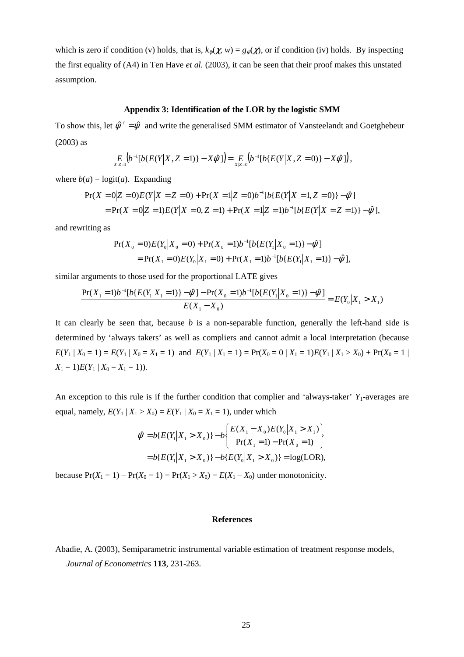which is zero if condition (v) holds, that is,  $k_v(\chi, w) = g_v(\chi)$ , or if condition (iv) holds. By inspecting the first equality of (A4) in Ten Have *et al.* (2003), it can be seen that their proof makes this unstated assumption.

### **Appendix 3: Identification of the LOR by the logistic SMM**

To show this, let  $\hat{\psi}^{\ell} = \hat{\psi}$  and write the generalised SMM estimator of Vansteelandt and Goetghebeur (2003) as

$$
\underset{X|Z=1}{E} \Big(b^{-1}[b\{E(Y|X,Z=1)\}-X\hat{\psi}]\Big) = \underset{X|Z=0}{E} \Big(b^{-1}[b\{E(Y|X,Z=0)\}-X\hat{\psi}]\Big),
$$

where  $b(a) = \log(t(a))$ . Expanding

$$
\begin{aligned} \Pr(X=0|Z=0)E(Y|X=Z=0) + \Pr(X=1|Z=0)b^{-1}[b\{E(Y|X=1,Z=0)\} - \hat{\psi}] \\ = \Pr(X=0|Z=1)E(Y|X=0,Z=1) + \Pr(X=1|Z=1)b^{-1}[b\{E(Y|X=Z=1)\} - \hat{\psi}], \end{aligned}
$$

and rewriting as

$$
Pr(X_0 = 0)E(Y_0|X_0 = 0) + Pr(X_0 = 1)b^{-1}[b\{E(Y_1|X_0 = 1)\} - \hat{\psi}]
$$
  
= Pr(X\_1 = 0)E(Y\_0|X\_1 = 0) + Pr(X\_1 = 1)b^{-1}[b\{E(Y\_1|X\_1 = 1)\} - \hat{\psi}],

similar arguments to those used for the proportional LATE gives

$$
\frac{\Pr(X_1 = 1)b^{-1}[b\{E(Y_1|X_1 = 1)\} - \hat{\psi}]\n - \Pr(X_0 = 1)b^{-1}[b\{E(Y_1|X_0 = 1)\} - \hat{\psi}]}{E(X_1 - X_0)} = E(Y_0|X_1 > X_1)
$$

It can clearly be seen that, because *b* is a non-separable function, generally the left-hand side is determined by 'always takers' as well as compliers and cannot admit a local interpretation (because  $E(Y_1 | X_0 = 1) = E(Y_1 | X_0 = X_1 = 1)$  and  $E(Y_1 | X_1 = 1) = Pr(X_0 = 0 | X_1 = 1)E(Y_1 | X_1 > X_0) + Pr(X_0 = 1 | X_1 = 1)$  $X_1 = 1$ *)* $E(Y_1 | X_0 = X_1 = 1)$ .

An exception to this rule is if the further condition that complier and 'always-taker'  $Y_1$ -averages are equal, namely,  $E(Y_1 | X_1 > X_0) = E(Y_1 | X_0 = X_1 = 1)$ , under which

$$
\hat{\psi} = b\{E(Y_1|X_1 > X_0)\} - b\left\{\frac{E(X_1 - X_0)E(Y_0|X_1 > X_1)}{\Pr(X_1 = 1) - \Pr(X_0 = 1)}\right\}
$$
  
=  $b\{E(Y_1|X_1 > X_0)\} - b\{E(Y_0|X_1 > X_0)\} = \log(LOR),$ 

because  $Pr(X_1 = 1) - Pr(X_0 = 1) = Pr(X_1 > X_0) = E(X_1 - X_0)$  under monotonicity.

## **References**

Abadie, A. (2003), Semiparametric instrumental variable estimation of treatment response models, *Journal of Econometrics* **113**, 231-263.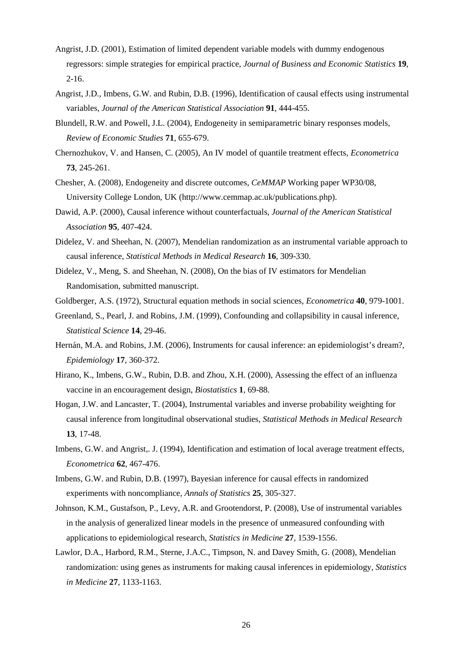- Angrist, J.D. (2001), Estimation of limited dependent variable models with dummy endogenous regressors: simple strategies for empirical practice, *Journal of Business and Economic Statistics* **19**, 2-16.
- Angrist, J.D., Imbens, G.W. and Rubin, D.B. (1996), Identification of causal effects using instrumental variables, *Journal of the American Statistical Association* **91**, 444-455.
- Blundell, R.W. and Powell, J.L. (2004), Endogeneity in semiparametric binary responses models, *Review of Economic Studies* **71**, 655-679.
- Chernozhukov, V. and Hansen, C. (2005), An IV model of quantile treatment effects, *Econometrica* **73**, 245-261.
- Chesher, A. (2008), Endogeneity and discrete outcomes, *CeMMAP* Working paper WP30/08, University College London, UK (http://www.cemmap.ac.uk/publications.php).
- Dawid, A.P. (2000), Causal inference without counterfactuals, *Journal of the American Statistical Association* **95**, 407-424.
- Didelez, V. and Sheehan, N. (2007), Mendelian randomization as an instrumental variable approach to causal inference, *Statistical Methods in Medical Research* **16**, 309-330.
- Didelez, V., Meng, S. and Sheehan, N. (2008), On the bias of IV estimators for Mendelian Randomisation, submitted manuscript.

Goldberger, A.S. (1972), Structural equation methods in social sciences, *Econometrica* **40**, 979-1001.

- Greenland, S., Pearl, J. and Robins, J.M. (1999), Confounding and collapsibility in causal inference, *Statistical Science* **14**, 29-46.
- Hernán, M.A. and Robins, J.M. (2006), Instruments for causal inference: an epidemiologist's dream?, *Epidemiology* **17**, 360-372.
- Hirano, K., Imbens, G.W., Rubin, D.B. and Zhou, X.H. (2000), Assessing the effect of an influenza vaccine in an encouragement design, *Biostatistics* **1**, 69-88.
- Hogan, J.W. and Lancaster, T. (2004), Instrumental variables and inverse probability weighting for causal inference from longitudinal observational studies, *Statistical Methods in Medical Research* **13**, 17-48.
- Imbens, G.W. and Angrist,. J. (1994), Identification and estimation of local average treatment effects, *Econometrica* **62**, 467-476.
- Imbens, G.W. and Rubin, D.B. (1997), Bayesian inference for causal effects in randomized experiments with noncompliance, *Annals of Statistics* **25**, 305-327.
- Johnson, K.M., Gustafson, P., Levy, A.R. and Grootendorst, P. (2008), Use of instrumental variables in the analysis of generalized linear models in the presence of unmeasured confounding with applications to epidemiological research, *Statistics in Medicine* **27**, 1539-1556.
- Lawlor, D.A., Harbord, R.M., Sterne, J.A.C., Timpson, N. and Davey Smith, G. (2008), Mendelian randomization: using genes as instruments for making causal inferences in epidemiology, *Statistics in Medicine* **27**, 1133-1163.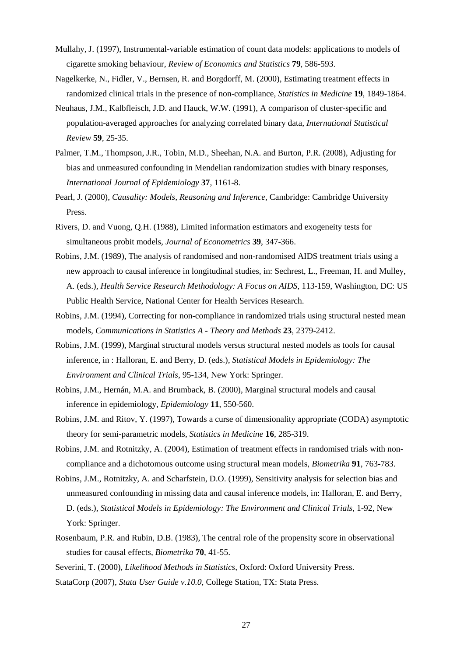- Mullahy, J. (1997), Instrumental-variable estimation of count data models: applications to models of cigarette smoking behaviour, *Review of Economics and Statistics* **79**, 586-593.
- Nagelkerke, N., Fidler, V., Bernsen, R. and Borgdorff, M. (2000), Estimating treatment effects in randomized clinical trials in the presence of non-compliance, *Statistics in Medicine* **19**, 1849-1864.
- Neuhaus, J.M., Kalbfleisch, J.D. and Hauck, W.W. (1991), A comparison of cluster-specific and population-averaged approaches for analyzing correlated binary data, *International Statistical Review* **59**, 25-35.
- Palmer, T.M., Thompson, J.R., Tobin, M.D., Sheehan, N.A. and Burton, P.R. (2008), Adjusting for bias and unmeasured confounding in Mendelian randomization studies with binary responses, *International Journal of Epidemiology* **37**, 1161-8.
- Pearl, J. (2000), *Causality: Models, Reasoning and Inference*, Cambridge: Cambridge University Press.
- Rivers, D. and Vuong, Q.H. (1988), Limited information estimators and exogeneity tests for simultaneous probit models, *Journal of Econometrics* **39**, 347-366.
- Robins, J.M. (1989), The analysis of randomised and non-randomised AIDS treatment trials using a new approach to causal inference in longitudinal studies, in: Sechrest, L., Freeman, H. and Mulley, A. (eds.), *Health Service Research Methodology: A Focus on AIDS*, 113-159, Washington, DC: US Public Health Service, National Center for Health Services Research.
- Robins, J.M. (1994), Correcting for non-compliance in randomized trials using structural nested mean models, *Communications in Statistics A - Theory and Methods* **23**, 2379-2412.
- Robins, J.M. (1999), Marginal structural models versus structural nested models as tools for causal inference, in : Halloran, E. and Berry, D. (eds.), *Statistical Models in Epidemiology: The Environment and Clinical Trials*, 95-134, New York: Springer.
- Robins, J.M., Hernán, M.A. and Brumback, B. (2000), Marginal structural models and causal inference in epidemiology, *Epidemiology* **11**, 550-560.
- Robins, J.M. and Ritov, Y. (1997), Towards a curse of dimensionality appropriate (CODA) asymptotic theory for semi-parametric models, *Statistics in Medicine* **16**, 285-319.
- Robins, J.M. and Rotnitzky, A. (2004), Estimation of treatment effects in randomised trials with noncompliance and a dichotomous outcome using structural mean models, *Biometrika* **91**, 763-783.
- Robins, J.M., Rotnitzky, A. and Scharfstein, D.O. (1999), Sensitivity analysis for selection bias and unmeasured confounding in missing data and causal inference models, in: Halloran, E. and Berry, D. (eds.), *Statistical Models in Epidemiology: The Environment and Clinical Trials*, 1-92, New York: Springer.
- Rosenbaum, P.R. and Rubin, D.B. (1983), The central role of the propensity score in observational studies for causal effects, *Biometrika* **70**, 41-55.
- Severini, T. (2000), *Likelihood Methods in Statistics*, Oxford: Oxford University Press.
- StataCorp (2007), *Stata User Guide v.10.0*, College Station, TX: Stata Press.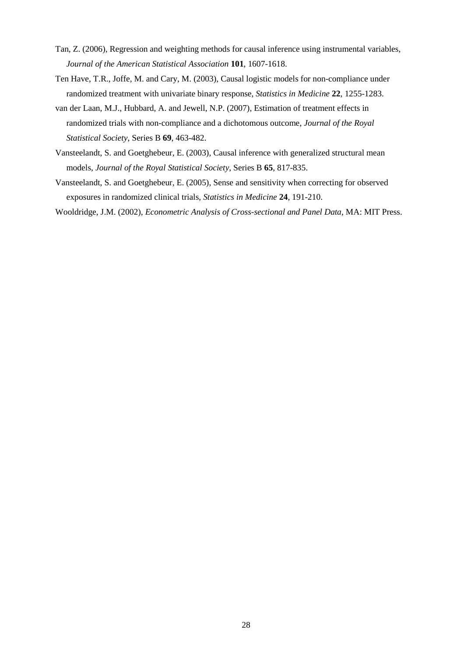- Tan, Z. (2006), Regression and weighting methods for causal inference using instrumental variables, *Journal of the American Statistical Association* **101**, 1607-1618.
- Ten Have, T.R., Joffe, M. and Cary, M. (2003), Causal logistic models for non-compliance under randomized treatment with univariate binary response, *Statistics in Medicine* **22**, 1255-1283.
- van der Laan, M.J., Hubbard, A. and Jewell, N.P. (2007), Estimation of treatment effects in randomized trials with non-compliance and a dichotomous outcome, *Journal of the Royal Statistical Society*, Series B **69**, 463-482.
- Vansteelandt, S. and Goetghebeur, E. (2003), Causal inference with generalized structural mean models, *Journal of the Royal Statistical Society*, Series B **65**, 817-835.
- Vansteelandt, S. and Goetghebeur, E. (2005), Sense and sensitivity when correcting for observed exposures in randomized clinical trials, *Statistics in Medicine* **24**, 191-210.
- Wooldridge, J.M. (2002), *Econometric Analysis of Cross-sectional and Panel Data*, MA: MIT Press.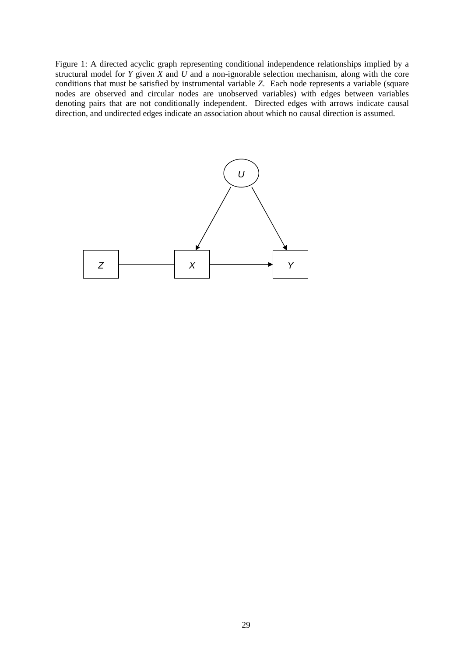Figure 1: A directed acyclic graph representing conditional independence relationships implied by a structural model for *Y* given *X* and *U* and a non-ignorable selection mechanism, along with the core conditions that must be satisfied by instrumental variable *Z*. Each node represents a variable (square nodes are observed and circular nodes are unobserved variables) with edges between variables denoting pairs that are not conditionally independent. Directed edges with arrows indicate causal direction, and undirected edges indicate an association about which no causal direction is assumed.